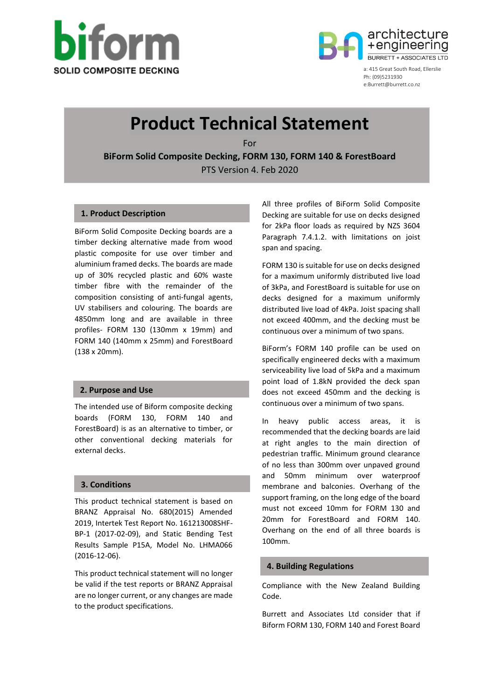



a: 415 Great South Road, Ellerslie Ph: (09)5231930 e:Burrett@burrett.co.nz

# **Product Technical Statement**

For **BiForm Solid Composite Decking, FORM 130, FORM 140 & ForestBoard** PTS Version 4. Feb 2020

# **1. Product Description**

BiForm Solid Composite Decking boards are a timber decking alternative made from wood plastic composite for use over timber and aluminium framed decks. The boards are made up of 30% recycled plastic and 60% waste timber fibre with the remainder of the composition consisting of anti-fungal agents, UV stabilisers and colouring. The boards are 4850mm long and are available in three profiles- FORM 130 (130mm x 19mm) and FORM 140 (140mm x 25mm) and ForestBoard (138 x 20mm).

## **2. Purpose and Use**

The intended use of Biform composite decking boards (FORM 130, FORM 140 and ForestBoard) is as an alternative to timber, or other conventional decking materials for external decks.

# **3. Conditions**

This product technical statement is based on BRANZ Appraisal No. 680(2015) Amended 2019, Intertek Test Report No. 161213008SHF-BP-1 (2017-02-09), and Static Bending Test Results Sample P15A, Model No. LHMA066 (2016-12-06).

This product technical statement will no longer be valid if the test reports or BRANZ Appraisal are no longer current, or any changes are made to the product specifications.

All three profiles of BiForm Solid Composite Decking are suitable for use on decks designed for 2kPa floor loads as required by NZS 3604 Paragraph 7.4.1.2. with limitations on joist span and spacing.

FORM 130 is suitable for use on decks designed for a maximum uniformly distributed live load of 3kPa, and ForestBoard is suitable for use on decks designed for a maximum uniformly distributed live load of 4kPa. Joist spacing shall not exceed 400mm, and the decking must be continuous over a minimum of two spans.

BiForm's FORM 140 profile can be used on specifically engineered decks with a maximum serviceability live load of 5kPa and a maximum point load of 1.8kN provided the deck span does not exceed 450mm and the decking is continuous over a minimum of two spans.

In heavy public access areas, it is recommended that the decking boards are laid at right angles to the main direction of pedestrian traffic. Minimum ground clearance of no less than 300mm over unpaved ground and 50mm minimum over waterproof membrane and balconies. Overhang of the support framing, on the long edge of the board must not exceed 10mm for FORM 130 and 20mm for ForestBoard and FORM 140. Overhang on the end of all three boards is 100mm.

#### **4. Building Regulations**

Compliance with the New Zealand Building Code.

Burrett and Associates Ltd consider that if Biform FORM 130, FORM 140 and Forest Board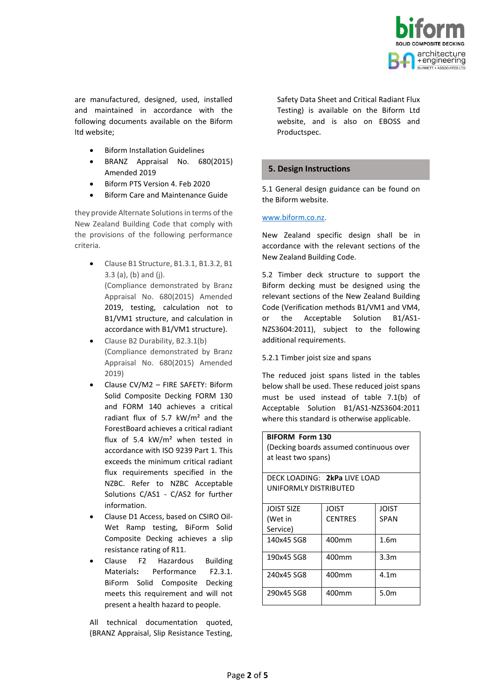

are manufactured, designed, used, installed and maintained in accordance with the following documents available on the Biform ltd website;

- Biform Installation Guidelines
- BRANZ Appraisal No. 680(2015) Amended 2019
- Biform PTS Version 4. Feb 2020
- Biform Care and Maintenance Guide

they provide Alternate Solutions in terms of the New Zealand Building Code that comply with the provisions of the following performance criteria.

- Clause B1 Structure, B1.3.1, B1.3.2, B1 3.3 (a), (b) and (j). (Compliance demonstrated by Branz Appraisal No. 680(2015) Amended 2019, testing, calculation not to B1/VM1 structure, and calculation in accordance with B1/VM1 structure).
- Clause B2 Durability, B2.3.1(b) (Compliance demonstrated by Branz Appraisal No. 680(2015) Amended 2019)
- Clause CV/M2 FIRE SAFETY: Biform Solid Composite Decking FORM 130 and FORM 140 achieves a critical radiant flux of 5.7 kW/m² and the ForestBoard achieves a critical radiant flux of 5.4 kW/m² when tested in accordance with ISO 9239 Part 1. This exceeds the minimum critical radiant flux requirements specified in the NZBC. Refer to NZBC Acceptable Solutions C/AS1 - C/AS2 for further information.
- Clause D1 Access, based on CSIRO Oil-Wet Ramp testing, BiForm Solid Composite Decking achieves a slip resistance rating of R11.
- Clause F2 Hazardous Building Materials**:** Performance F2.3.1. BiForm Solid Composite Decking meets this requirement and will not present a health hazard to people.

All technical documentation quoted, (BRANZ Appraisal, Slip Resistance Testing,

Safety Data Sheet and Critical Radiant Flux Testing) is available on the Biform Ltd website, and is also on EBOSS and Productspec.

# **5. Design Instructions**

5.1 General design guidance can be found on the Biform website.

## [www.biform.co.nz.](http://www.biform.co.nz/)

New Zealand specific design shall be in accordance with the relevant sections of the New Zealand Building Code.

5.2 Timber deck structure to support the Biform decking must be designed using the relevant sections of the New Zealand Building Code (Verification methods B1/VM1 and VM4, or the Acceptable Solution B1/AS1- NZS3604:2011), subject to the following additional requirements.

5.2.1 Timber joist size and spans

The reduced joist spans listed in the tables below shall be used. These reduced joist spans must be used instead of table 7.1(b) of Acceptable Solution B1/AS1-NZS3604:2011 where this standard is otherwise applicable.

# **BIFORM Form 130** (Decking boards assumed continuous over at least two spans) DECK LOADING: **2kPa** LIVE LOAD UNIFORMLY DISTRIBUTED JOIST SIZE (Wet in Service) JOIST CENTRES JOIST SPAN 140x45 SG8 | 400mm | 1.6m 190x45 SG8 400mm 3.3m 240x45 SG8 | 400mm | 4.1m 290x45 SG8 400mm 5.0m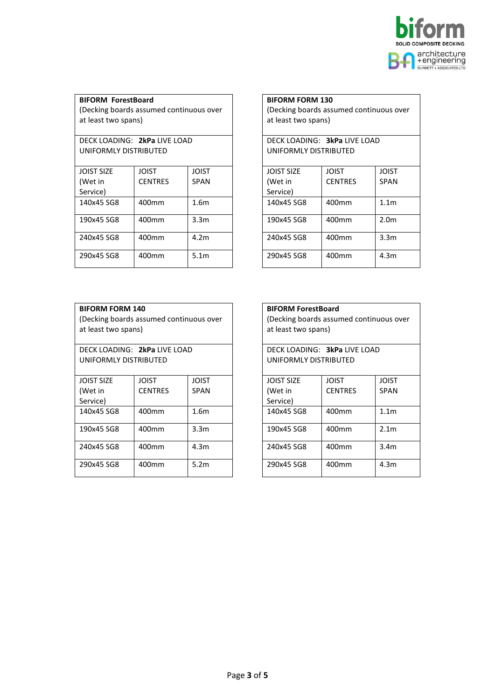

(Decking boards assumed continuous over at least two spans)

DECK LOADING: **2kPa** LIVE LOAD UNIFORMLY DISTRIBUTED

| <b>JOIST SIZE</b> | <b>JOIST</b>   | <b>JOIST</b>     |
|-------------------|----------------|------------------|
| (Wet in           | <b>CENTRES</b> | <b>SPAN</b>      |
| Service)          |                |                  |
| 140x45 SG8        | 400mm          | 1.6 <sub>m</sub> |
| 190x45 SG8        | 400mm          | 3.3 <sub>m</sub> |
| 240x45 SG8        | 400mm          | 4.2m             |
| 290x45 SG8        | 400mm          | 5.1 <sub>m</sub> |

| <b>BIFORM FORM 130</b><br>(Decking boards assumed continuous over<br>at least two spans) |                |                  |
|------------------------------------------------------------------------------------------|----------------|------------------|
| DECK LOADING: 3kPa LIVE LOAD                                                             |                |                  |
| UNIFORMLY DISTRIBUTED                                                                    |                |                  |
|                                                                                          |                |                  |
| <b>JOIST SIZE</b>                                                                        | JOIST          | JOIST            |
| (Wet in                                                                                  | <b>CENTRES</b> | SPAN             |
| Service)                                                                                 |                |                  |
| 140x45 SG8                                                                               | 400mm          | 1.1 <sub>m</sub> |
| 190x45 SG8                                                                               | 400mm          | 2.0 <sub>m</sub> |
| 240x45 SG8                                                                               | 400mm          | 3.3m             |
| 290x45 SG8                                                                               | 400mm          | 4.3m             |

## **BIFORM FORM 140**

(Decking boards assumed continuous over at least two spans)

DECK LOADING: **2kPa** LIVE LOAD UNIFORMLY DISTRIBUTED

| <b>JOIST SIZE</b> | <b>JOIST</b>   | <b>JOIST</b>     |
|-------------------|----------------|------------------|
| (Wet in           | <b>CENTRES</b> | <b>SPAN</b>      |
| Service)          |                |                  |
| 140x45 SG8        | 400mm          | 1.6 <sub>m</sub> |
|                   |                |                  |
| 190x45 SG8        | 400mm          | 3.3 <sub>m</sub> |
|                   |                |                  |
| 240x45 SG8        | 400mm          | 4.3 <sub>m</sub> |
|                   |                |                  |
| 290x45 SG8        | 400mm          | 5.2 <sub>m</sub> |
|                   |                |                  |

# **BIFORM ForestBoard**

(Decking boards assumed continuous over at least two spans)

DECK LOADING: **3kPa** LIVE LOAD UNIFORMLY DISTRIBUTED

| <b>JOIST SIZE</b> | <b>JOIST</b>   | <b>JOIST</b>     |
|-------------------|----------------|------------------|
| (Wet in           | <b>CENTRES</b> | <b>SPAN</b>      |
| Service)          |                |                  |
| 140x45 SG8        | 400mm          | 1.1 <sub>m</sub> |
| 190x45 SG8        | 400mm          | 2.1 <sub>m</sub> |
| 240x45 SG8        | 400mm          | 3.4 <sub>m</sub> |
| 290x45 SG8        | 400mm          | 4.3 <sub>m</sub> |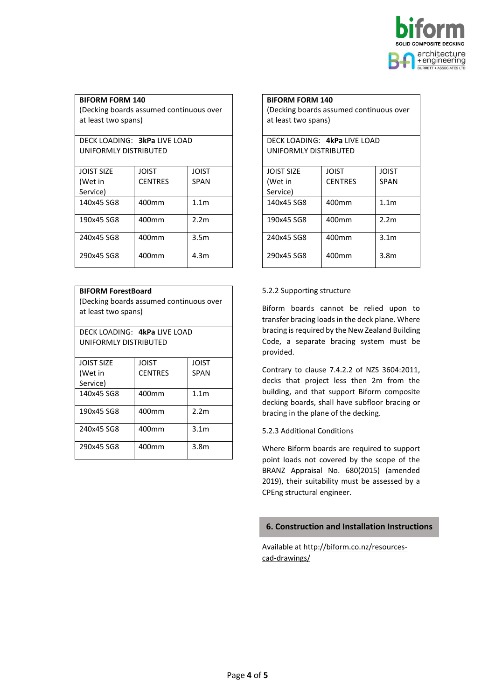

### **BIFORM FORM 140**

(Decking boards assumed continuous over at least two spans)

DECK LOADING: **3kPa** LIVE LOAD UNIFORMLY DISTRIBUTED

| <b>JOIST SIZE</b> | <b>JOIST</b>   | JOIST            |
|-------------------|----------------|------------------|
| (Wet in           | <b>CENTRES</b> | <b>SPAN</b>      |
| Service)          |                |                  |
| 140x45 SG8        | 400mm          | 1.1 <sub>m</sub> |
| 190x45 SG8        | 400mm          | 2.2 <sub>m</sub> |
| 240x45 SG8        | 400mm          | 3.5 <sub>m</sub> |
| 290x45 SG8        | 400mm          | 4.3m             |

## **BIFORM ForestBoard**

(Decking boards assumed continuous over at least two spans)

DECK LOADING: **4kPa** LIVE LOAD UNIFORMLY DISTRIBUTED

| <b>JOIST SIZE</b> | <b>JOIST</b>   | <b>JOIST</b>     |
|-------------------|----------------|------------------|
| (Wet in           | <b>CENTRES</b> | <b>SPAN</b>      |
| Service)          |                |                  |
| 140x45 SG8        | 400mm          | 1.1 <sub>m</sub> |
|                   |                |                  |
| 190x45 SG8        | 400mm          | 2.2 <sub>m</sub> |
|                   |                |                  |
| 240x45 SG8        | 400mm          | 3.1 <sub>m</sub> |
|                   |                |                  |
| 290x45 SG8        | 400mm          | 3.8 <sub>m</sub> |
|                   |                |                  |

# **BIFORM FORM 140** (Decking boards assumed continuous over at least two spans) DECK LOADING: **4kPa** LIVE LOAD UNIFORMLY DISTRIBUTED JOIST SIZE (Wet in Service) JOIST **CENTRES** JOIST SPAN 140x45 SG8 | 400mm | 1.1m 190x45 SG8 400mm 2.2m 240x45 SG8 400mm 3.1m 290x45 SG8 400mm 3.8m

## 5.2.2 Supporting structure

Biform boards cannot be relied upon to transfer bracing loads in the deck plane. Where bracing is required by the New Zealand Building Code, a separate bracing system must be provided.

Contrary to clause 7.4.2.2 of NZS 3604:2011, decks that project less then 2m from the building, and that support Biform composite decking boards, shall have subfloor bracing or bracing in the plane of the decking.

### 5.2.3 Additional Conditions

Where Biform boards are required to support point loads not covered by the scope of the BRANZ Appraisal No. 680(2015) (amended 2019), their suitability must be assessed by a CPEng structural engineer.

## **6. Construction and Installation Instructions**

Available at [http://biform.co.nz/resources](http://biform.co.nz/resources-cad-drawings/)[cad-drawings/](http://biform.co.nz/resources-cad-drawings/)